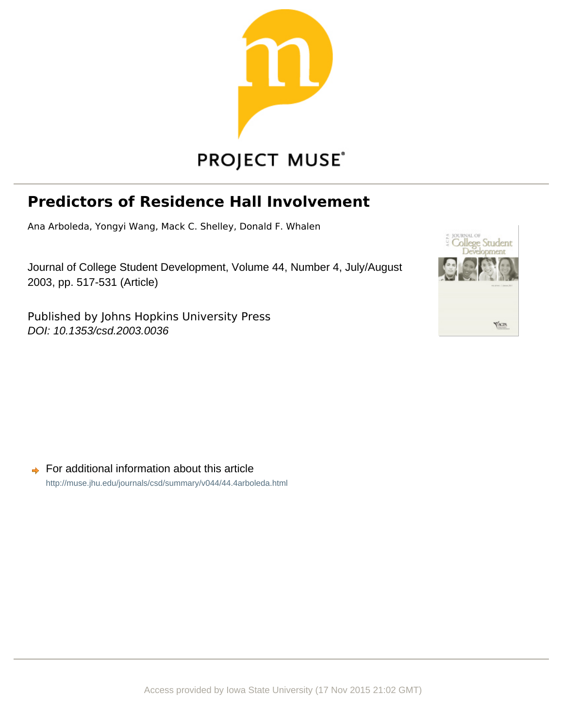

# **PROJECT MUSE®**

# **Predictors of Residence Hall Involvement**

Ana Arboleda, Yongyi Wang, Mack C. Shelley, Donald F. Whalen

Journal of College Student Development, Volume 44, Number 4, July/August 2003, pp. 517-531 (Article)

Published by Johns Hopkins University Press DOI: 10.1353/csd.2003.0036



For additional information about this article  $\Rightarrow$ <http://muse.jhu.edu/journals/csd/summary/v044/44.4arboleda.html>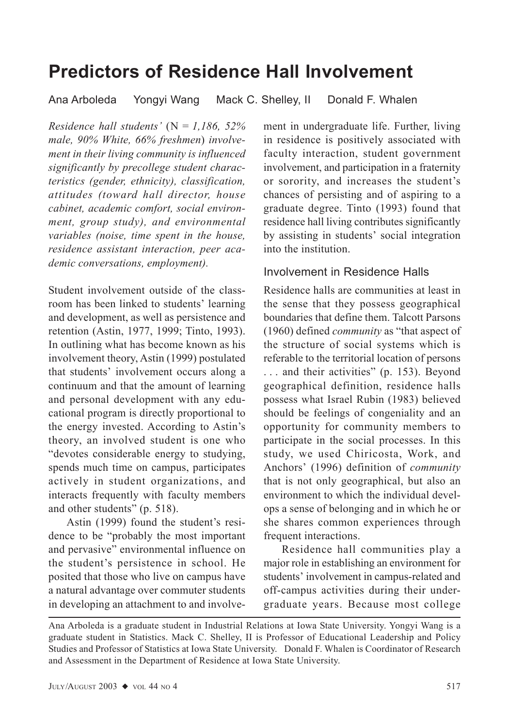## **Predictors of Residence Hall Involvement**

Ana Arboleda Yongyi Wang Mack C. Shelley, II Donald F. Whalen

*Residence hall students'* (N *= 1,186, 52% male, 90% White, 66% freshmen*) *involvement in their living community is influenced significantly by precollege student characteristics (gender, ethnicity), classification, attitudes (toward hall director, house cabinet, academic comfort, social environment, group study), and environmental variables (noise, time spent in the house, residence assistant interaction, peer academic conversations, employment).*

Student involvement outside of the classroom has been linked to students' learning and development, as well as persistence and retention (Astin, 1977, 1999; Tinto, 1993). In outlining what has become known as his involvement theory, Astin (1999) postulated that students' involvement occurs along a continuum and that the amount of learning and personal development with any educational program is directly proportional to the energy invested. According to Astin's theory, an involved student is one who "devotes considerable energy to studying, spends much time on campus, participates actively in student organizations, and interacts frequently with faculty members and other students" (p. 518).

Astin (1999) found the student's residence to be "probably the most important and pervasive" environmental influence on the student's persistence in school. He posited that those who live on campus have a natural advantage over commuter students in developing an attachment to and involvement in undergraduate life. Further, living in residence is positively associated with faculty interaction, student government involvement, and participation in a fraternity or sorority, and increases the student's chances of persisting and of aspiring to a graduate degree. Tinto (1993) found that residence hall living contributes significantly by assisting in students' social integration into the institution.

#### Involvement in Residence Halls

Residence halls are communities at least in the sense that they possess geographical boundaries that define them. Talcott Parsons (1960) defined *community* as "that aspect of the structure of social systems which is referable to the territorial location of persons . . . and their activities" (p. 153). Beyond geographical definition, residence halls possess what Israel Rubin (1983) believed should be feelings of congeniality and an opportunity for community members to participate in the social processes. In this study, we used Chiricosta, Work, and Anchors' (1996) definition of *community* that is not only geographical, but also an environment to which the individual develops a sense of belonging and in which he or she shares common experiences through frequent interactions.

Residence hall communities play a major role in establishing an environment for students' involvement in campus-related and off-campus activities during their undergraduate years. Because most college

Ana Arboleda is a graduate student in Industrial Relations at Iowa State University. Yongyi Wang is a graduate student in Statistics. Mack C. Shelley, II is Professor of Educational Leadership and Policy Studies and Professor of Statistics at Iowa State University. Donald F. Whalen is Coordinator of Research and Assessment in the Department of Residence at Iowa State University.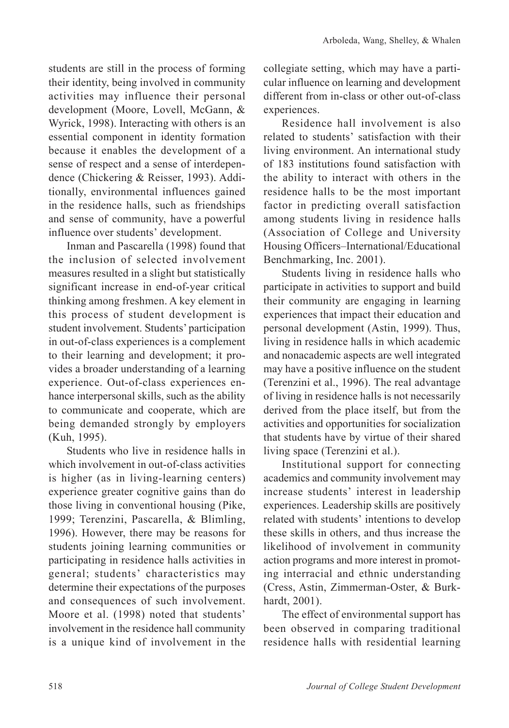students are still in the process of forming their identity, being involved in community activities may influence their personal development (Moore, Lovell, McGann, & Wyrick, 1998). Interacting with others is an essential component in identity formation because it enables the development of a sense of respect and a sense of interdependence (Chickering & Reisser, 1993). Additionally, environmental influences gained in the residence halls, such as friendships and sense of community, have a powerful influence over students' development.

Inman and Pascarella (1998) found that the inclusion of selected involvement measures resulted in a slight but statistically significant increase in end-of-year critical thinking among freshmen. A key element in this process of student development is student involvement. Students' participation in out-of-class experiences is a complement to their learning and development; it provides a broader understanding of a learning experience. Out-of-class experiences enhance interpersonal skills, such as the ability to communicate and cooperate, which are being demanded strongly by employers (Kuh, 1995).

Students who live in residence halls in which involvement in out-of-class activities is higher (as in living-learning centers) experience greater cognitive gains than do those living in conventional housing (Pike, 1999; Terenzini, Pascarella, & Blimling, 1996). However, there may be reasons for students joining learning communities or participating in residence halls activities in general; students' characteristics may determine their expectations of the purposes and consequences of such involvement. Moore et al. (1998) noted that students' involvement in the residence hall community is a unique kind of involvement in the collegiate setting, which may have a particular influence on learning and development different from in-class or other out-of-class experiences

Residence hall involvement is also related to students' satisfaction with their living environment. An international study of 183 institutions found satisfaction with the ability to interact with others in the residence halls to be the most important factor in predicting overall satisfaction among students living in residence halls (Association of College and University Housing Officers–International/Educational Benchmarking, Inc. 2001).

Students living in residence halls who participate in activities to support and build their community are engaging in learning experiences that impact their education and personal development (Astin, 1999). Thus, living in residence halls in which academic and nonacademic aspects are well integrated may have a positive influence on the student (Terenzini et al., 1996). The real advantage of living in residence halls is not necessarily derived from the place itself, but from the activities and opportunities for socialization that students have by virtue of their shared living space (Terenzini et al.).

Institutional support for connecting academics and community involvement may increase students' interest in leadership experiences. Leadership skills are positively related with students' intentions to develop these skills in others, and thus increase the likelihood of involvement in community action programs and more interest in promoting interracial and ethnic understanding (Cress, Astin, Zimmerman-Oster, & Burkhardt, 2001).

The effect of environmental support has been observed in comparing traditional residence halls with residential learning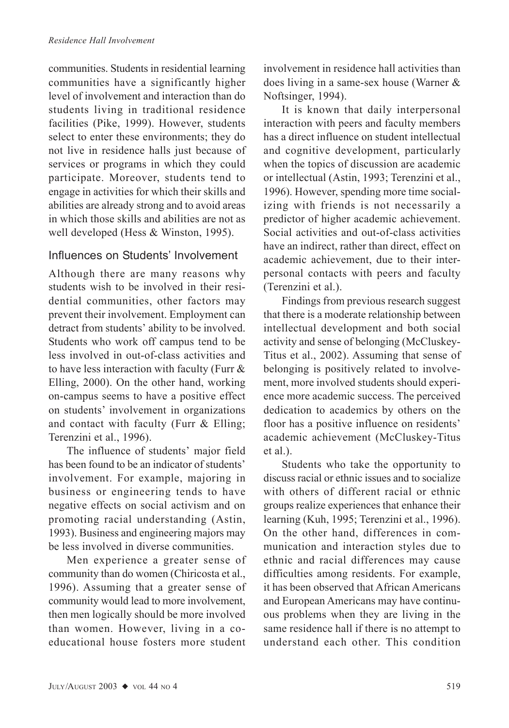communities. Students in residential learning communities have a significantly higher level of involvement and interaction than do students living in traditional residence facilities (Pike, 1999). However, students select to enter these environments; they do not live in residence halls just because of services or programs in which they could participate. Moreover, students tend to engage in activities for which their skills and abilities are already strong and to avoid areas in which those skills and abilities are not as well developed (Hess & Winston, 1995).

#### Influences on Students' Involvement

Although there are many reasons why students wish to be involved in their residential communities, other factors may prevent their involvement. Employment can detract from students' ability to be involved. Students who work off campus tend to be less involved in out-of-class activities and to have less interaction with faculty (Furr & Elling, 2000). On the other hand, working on-campus seems to have a positive effect on students' involvement in organizations and contact with faculty (Furr & Elling; Terenzini et al., 1996).

The influence of students' major field has been found to be an indicator of students' involvement. For example, majoring in business or engineering tends to have negative effects on social activism and on promoting racial understanding (Astin, 1993). Business and engineering majors may be less involved in diverse communities.

Men experience a greater sense of community than do women (Chiricosta et al., 1996). Assuming that a greater sense of community would lead to more involvement, then men logically should be more involved than women. However, living in a coeducational house fosters more student

involvement in residence hall activities than does living in a same-sex house (Warner & Noftsinger, 1994).

It is known that daily interpersonal interaction with peers and faculty members has a direct influence on student intellectual and cognitive development, particularly when the topics of discussion are academic or intellectual (Astin, 1993; Terenzini et al., 1996). However, spending more time socializing with friends is not necessarily a predictor of higher academic achievement. Social activities and out-of-class activities have an indirect, rather than direct, effect on academic achievement, due to their interpersonal contacts with peers and faculty (Terenzini et al.).

Findings from previous research suggest that there is a moderate relationship between intellectual development and both social activity and sense of belonging (McCluskey-Titus et al., 2002). Assuming that sense of belonging is positively related to involvement, more involved students should experience more academic success. The perceived dedication to academics by others on the floor has a positive influence on residents' academic achievement (McCluskey-Titus et al.).

Students who take the opportunity to discuss racial or ethnic issues and to socialize with others of different racial or ethnic groups realize experiences that enhance their learning (Kuh, 1995; Terenzini et al., 1996). On the other hand, differences in communication and interaction styles due to ethnic and racial differences may cause difficulties among residents. For example, it has been observed that African Americans and European Americans may have continuous problems when they are living in the same residence hall if there is no attempt to understand each other. This condition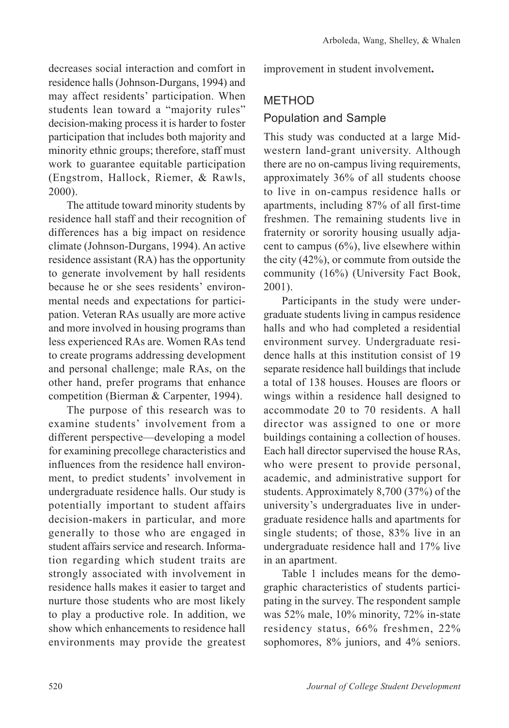decreases social interaction and comfort in residence halls (Johnson-Durgans, 1994) and may affect residents' participation. When students lean toward a "majority rules" decision-making process it is harder to foster participation that includes both majority and minority ethnic groups; therefore, staff must work to guarantee equitable participation (Engstrom, Hallock, Riemer, & Rawls, 2000).

The attitude toward minority students by residence hall staff and their recognition of differences has a big impact on residence climate (Johnson-Durgans, 1994). An active residence assistant (RA) has the opportunity to generate involvement by hall residents because he or she sees residents' environmental needs and expectations for participation. Veteran RAs usually are more active and more involved in housing programs than less experienced RAs are. Women RAs tend to create programs addressing development and personal challenge; male RAs, on the other hand, prefer programs that enhance competition (Bierman & Carpenter, 1994).

The purpose of this research was to examine students' involvement from a different perspective—developing a model for examining precollege characteristics and influences from the residence hall environment, to predict students' involvement in undergraduate residence halls. Our study is potentially important to student affairs decision-makers in particular, and more generally to those who are engaged in student affairs service and research. Information regarding which student traits are strongly associated with involvement in residence halls makes it easier to target and nurture those students who are most likely to play a productive role. In addition, we show which enhancements to residence hall environments may provide the greatest

improvement in student involvement**.**

#### METHOD

#### Population and Sample

This study was conducted at a large Midwestern land-grant university. Although there are no on-campus living requirements, approximately 36% of all students choose to live in on-campus residence halls or apartments, including 87% of all first-time freshmen. The remaining students live in fraternity or sorority housing usually adjacent to campus (6%), live elsewhere within the city (42%), or commute from outside the community (16%) (University Fact Book, 2001).

Participants in the study were undergraduate students living in campus residence halls and who had completed a residential environment survey. Undergraduate residence halls at this institution consist of 19 separate residence hall buildings that include a total of 138 houses. Houses are floors or wings within a residence hall designed to accommodate 20 to 70 residents. A hall director was assigned to one or more buildings containing a collection of houses. Each hall director supervised the house RAs, who were present to provide personal, academic, and administrative support for students. Approximately 8,700 (37%) of the university's undergraduates live in undergraduate residence halls and apartments for single students; of those, 83% live in an undergraduate residence hall and 17% live in an apartment.

Table 1 includes means for the demographic characteristics of students participating in the survey. The respondent sample was 52% male, 10% minority, 72% in-state residency status, 66% freshmen, 22% sophomores, 8% juniors, and 4% seniors.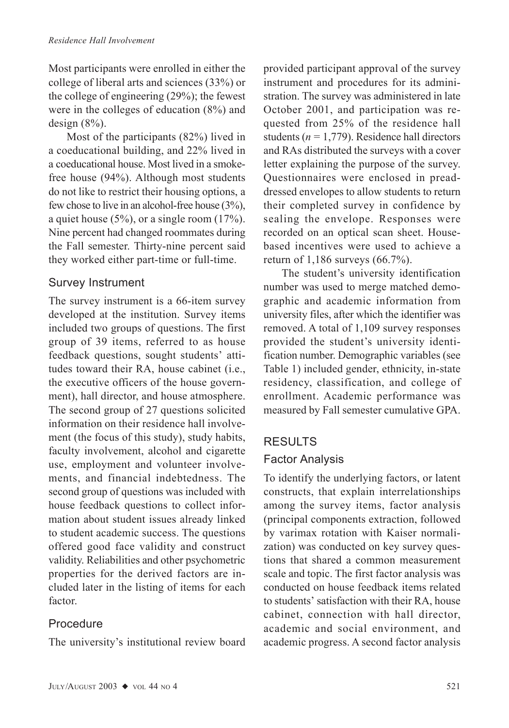Most participants were enrolled in either the college of liberal arts and sciences (33%) or the college of engineering (29%); the fewest were in the colleges of education (8%) and design (8%).

Most of the participants (82%) lived in a coeducational building, and 22% lived in a coeducational house. Most lived in a smokefree house (94%). Although most students do not like to restrict their housing options, a few chose to live in an alcohol-free house (3%), a quiet house (5%), or a single room (17%). Nine percent had changed roommates during the Fall semester. Thirty-nine percent said they worked either part-time or full-time.

#### Survey Instrument

The survey instrument is a 66-item survey developed at the institution. Survey items included two groups of questions. The first group of 39 items, referred to as house feedback questions, sought students' attitudes toward their RA, house cabinet (i.e., the executive officers of the house government), hall director, and house atmosphere. The second group of 27 questions solicited information on their residence hall involvement (the focus of this study), study habits, faculty involvement, alcohol and cigarette use, employment and volunteer involvements, and financial indebtedness. The second group of questions was included with house feedback questions to collect information about student issues already linked to student academic success. The questions offered good face validity and construct validity. Reliabilities and other psychometric properties for the derived factors are included later in the listing of items for each factor.

#### Procedure

The university's institutional review board

provided participant approval of the survey instrument and procedures for its administration. The survey was administered in late October 2001, and participation was requested from 25% of the residence hall students ( $n = 1,779$ ). Residence hall directors and RAs distributed the surveys with a cover letter explaining the purpose of the survey. Questionnaires were enclosed in preaddressed envelopes to allow students to return their completed survey in confidence by sealing the envelope. Responses were recorded on an optical scan sheet. Housebased incentives were used to achieve a return of 1,186 surveys (66.7%).

The student's university identification number was used to merge matched demographic and academic information from university files, after which the identifier was removed. A total of 1,109 survey responses provided the student's university identification number. Demographic variables (see Table 1) included gender, ethnicity, in-state residency, classification, and college of enrollment. Academic performance was measured by Fall semester cumulative GPA.

#### RESULTS

#### Factor Analysis

To identify the underlying factors, or latent constructs, that explain interrelationships among the survey items, factor analysis (principal components extraction, followed by varimax rotation with Kaiser normalization) was conducted on key survey questions that shared a common measurement scale and topic. The first factor analysis was conducted on house feedback items related to students' satisfaction with their RA, house cabinet, connection with hall director, academic and social environment, and academic progress. A second factor analysis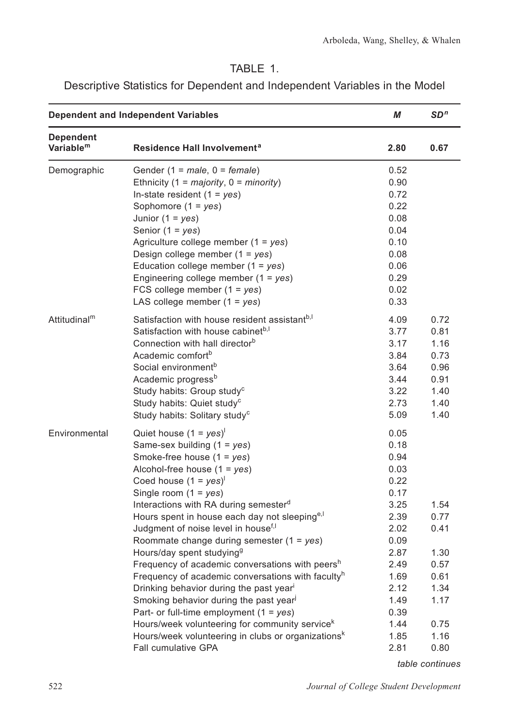### TABLE 1.

Descriptive Statistics for Dependent and Independent Variables in the Model

|                                           | <b>Dependent and Independent Variables</b>                     | M    | SD <sup>n</sup> |
|-------------------------------------------|----------------------------------------------------------------|------|-----------------|
| <b>Dependent</b><br>Variable <sup>m</sup> | Residence Hall Involvement <sup>a</sup>                        | 2.80 | 0.67            |
| Demographic                               | Gender (1 = male, $0 = female$ )                               | 0.52 |                 |
|                                           | Ethnicity (1 = majority, $0 =$ minority)                       | 0.90 |                 |
|                                           | In-state resident $(1 = yes)$                                  | 0.72 |                 |
|                                           | Sophomore $(1 = yes)$                                          | 0.22 |                 |
|                                           | Junior $(1 = yes)$                                             | 0.08 |                 |
|                                           | Senior $(1 = yes)$                                             | 0.04 |                 |
|                                           | Agriculture college member $(1 = yes)$                         | 0.10 |                 |
|                                           | Design college member $(1 = yes)$                              | 0.08 |                 |
|                                           | Education college member $(1 = yes)$                           | 0.06 |                 |
|                                           | Engineering college member $(1 = yes)$                         | 0.29 |                 |
|                                           | FCS college member $(1 = yes)$                                 | 0.02 |                 |
|                                           | LAS college member $(1 = yes)$                                 | 0.33 |                 |
| Attitudinal <sup>m</sup>                  | Satisfaction with house resident assistant <sup>b,l</sup>      | 4.09 | 0.72            |
|                                           | Satisfaction with house cabinetb,l                             | 3.77 | 0.81            |
|                                           | Connection with hall director <sup>b</sup>                     | 3.17 | 1.16            |
|                                           | Academic comfort <sup>b</sup>                                  | 3.84 | 0.73            |
|                                           | Social environment <sup>b</sup>                                | 3.64 | 0.96            |
|                                           | Academic progress <sup>b</sup>                                 | 3.44 | 0.91            |
|                                           | Study habits: Group study <sup>c</sup>                         | 3.22 | 1.40            |
|                                           | Study habits: Quiet study <sup>c</sup>                         | 2.73 | 1.40            |
|                                           | Study habits: Solitary study <sup>c</sup>                      | 5.09 | 1.40            |
| Environmental                             | Quiet house $(1 = yes)^{1}$                                    | 0.05 |                 |
|                                           | Same-sex building $(1 = yes)$                                  | 0.18 |                 |
|                                           | Smoke-free house $(1 = yes)$                                   | 0.94 |                 |
|                                           | Alcohol-free house $(1 = yes)$                                 | 0.03 |                 |
|                                           | Coed house $(1 = yes)^{1}$                                     | 0.22 |                 |
|                                           | Single room $(1 = yes)$                                        | 0.17 |                 |
|                                           | Interactions with RA during semester <sup>d</sup>              | 3.25 | 1.54            |
|                                           | Hours spent in house each day not sleeping <sup>e,l</sup>      | 2.39 | 0.77            |
|                                           | Judgment of noise level in house <sup>f,l</sup>                | 2.02 | 0.41            |
|                                           | Roommate change during semester $(1 = yes)$                    | 0.09 |                 |
|                                           | Hours/day spent studying <sup>9</sup>                          | 2.87 | 1.30            |
|                                           | Frequency of academic conversations with peersh                | 2.49 | 0.57            |
|                                           | Frequency of academic conversations with facultyh              | 1.69 | 0.61            |
|                                           | Drinking behavior during the past year <sup>i</sup>            | 2.12 | 1.34            |
|                                           | Smoking behavior during the past year <sup>j</sup>             | 1.49 | 1.17            |
|                                           | Part- or full-time employment $(1 = yes)$                      | 0.39 |                 |
|                                           | Hours/week volunteering for community service <sup>k</sup>     | 1.44 | 0.75            |
|                                           | Hours/week volunteering in clubs or organizations <sup>k</sup> | 1.85 | 1.16            |
|                                           | Fall cumulative GPA                                            | 2.81 | 0.80            |

*table continues*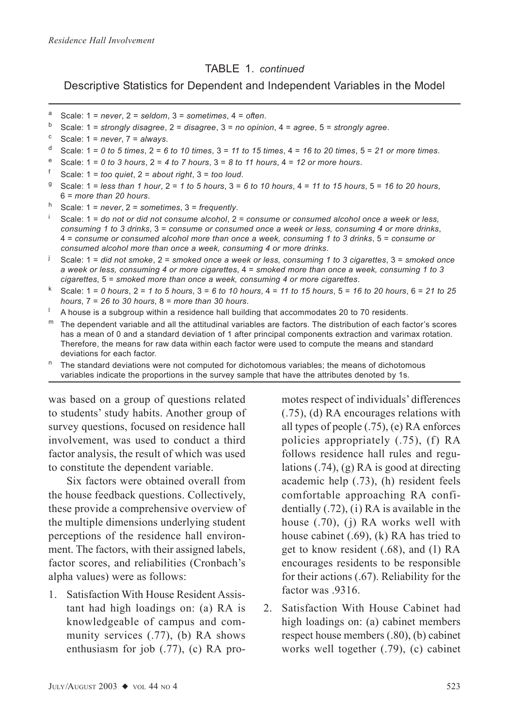#### TABLE 1. *continued*

Descriptive Statistics for Dependent and Independent Variables in the Model

- <sup>a</sup> Scale: 1 = *never*, 2 = *seldom*, 3 = *sometimes*, 4 = *often*.
- <sup>b</sup> Scale: 1 = *strongly disagree*, 2 = *disagree*, 3 = *no opinion*, 4 = *agree*, 5 = *strongly agree*.
- $\degree$  Scale:  $1 = never$ ,  $7 = always$ .
- <sup>d</sup> Scale: 1 = *0 to 5 times*, 2 = *6 to 10 times*, 3 = *11 to 15 times*, 4 = *16 to 20 times*, 5 = *21 or more times*.
- <sup>e</sup> Scale: 1 = *0 to 3 hours*, 2 = *4 to 7 hours*, 3 = *8 to 11 hours*, 4 = *12 or more hours*.
- <sup>f</sup> Scale: 1 = *too quiet*, 2 = *about right*, 3 = *too loud*.
- <sup>g</sup> Scale: 1 = *less than 1 hour*, 2 = *1 to 5 hours*, 3 = *6 to 10 hours*, 4 = *11 to 15 hours*, 5 = *16 to 20 hours*, 6 = *more than 20 hours*.
- <sup>h</sup> Scale: 1 = *never*, 2 = *sometimes*, 3 = *frequently*.
- <sup>i</sup> Scale: 1 = *do not or did not consume alcohol*, 2 = *consume or consumed alcohol once a week or less, consuming 1 to 3 drinks*, 3 = *consume or consumed once a week or less, consuming 4 or more drinks*, 4 = *consume or consumed alcohol more than once a week, consuming 1 to 3 drinks*, 5 = *consume or consumed alcohol more than once a week, consuming 4 or more drinks*.
- <sup>j</sup> Scale: 1 = *did not smoke*, 2 = *smoked once a week or less, consuming 1 to 3 cigarettes*, 3 = *smoked once a week or less, consuming 4 or more cigarettes*, 4 = *smoked more than once a week, consuming 1 to 3 cigarettes*, 5 = *smoked more than once a week, consuming 4 or more cigarettes*.
- <sup>k</sup> Scale: 1 = *0 hours*, 2 = *1 to 5 hours*, 3 = *6 to 10 hours*, 4 = *11 to 15 hours*, 5 = *16 to 20 hours*, 6 = *21 to 25 hours*, 7 = *26 to 30 hours*, 8 = *more than 30 hours*.
- <sup>l</sup> A house is a subgroup within a residence hall building that accommodates 20 to 70 residents.
- $<sup>m</sup>$  The dependent variable and all the attitudinal variables are factors. The distribution of each factor's scores</sup> has a mean of 0 and a standard deviation of 1 after principal components extraction and varimax rotation. Therefore, the means for raw data within each factor were used to compute the means and standard deviations for each factor.
- The standard deviations were not computed for dichotomous variables; the means of dichotomous variables indicate the proportions in the survey sample that have the attributes denoted by 1s.

was based on a group of questions related to students' study habits. Another group of survey questions, focused on residence hall involvement, was used to conduct a third factor analysis, the result of which was used to constitute the dependent variable.

Six factors were obtained overall from the house feedback questions. Collectively, these provide a comprehensive overview of the multiple dimensions underlying student perceptions of the residence hall environment. The factors, with their assigned labels, factor scores, and reliabilities (Cronbach's alpha values) were as follows:

1. Satisfaction With House Resident Assistant had high loadings on: (a) RA is knowledgeable of campus and community services (.77), (b) RA shows enthusiasm for job (.77), (c) RA promotes respect of individuals' differences (.75), (d) RA encourages relations with all types of people (.75), (e) RA enforces policies appropriately (.75), (f) RA follows residence hall rules and regulations (.74), (g) RA is good at directing academic help (.73), (h) resident feels comfortable approaching RA confidentially (.72), (i) RA is available in the house (.70), (j) RA works well with house cabinet (.69), (k) RA has tried to get to know resident (.68), and (l) RA encourages residents to be responsible for their actions (.67). Reliability for the  $factor was 9316$ .

2. Satisfaction With House Cabinet had high loadings on: (a) cabinet members respect house members (.80), (b) cabinet works well together (.79), (c) cabinet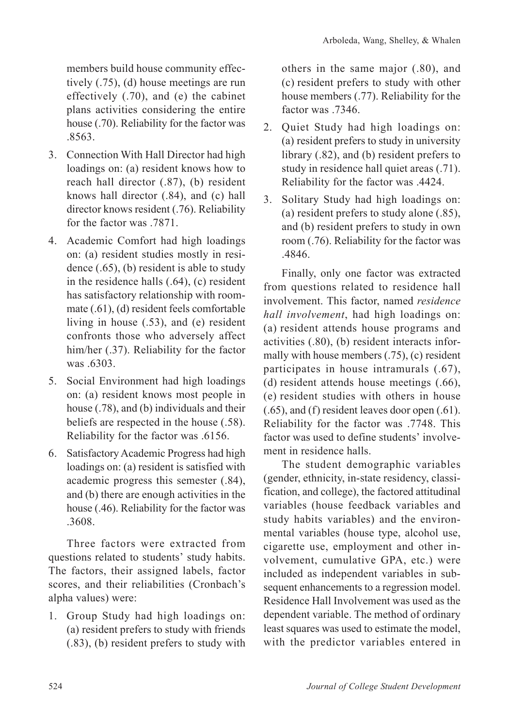members build house community effectively (.75), (d) house meetings are run effectively  $(.70)$ , and (e) the cabinet plans activities considering the entire house (.70). Reliability for the factor was .8563.

- 3. Connection With Hall Director had high loadings on: (a) resident knows how to reach hall director (.87), (b) resident knows hall director (.84), and (c) hall director knows resident (.76). Reliability for the factor was .7871.
- 4. Academic Comfort had high loadings on: (a) resident studies mostly in residence (.65), (b) resident is able to study in the residence halls (.64), (c) resident has satisfactory relationship with roommate (.61), (d) resident feels comfortable living in house (.53), and (e) resident confronts those who adversely affect him/her (.37). Reliability for the factor was .6303.
- 5. Social Environment had high loadings on: (a) resident knows most people in house (.78), and (b) individuals and their beliefs are respected in the house (.58). Reliability for the factor was .6156.
- 6. Satisfactory Academic Progress had high loadings on: (a) resident is satisfied with academic progress this semester (.84), and (b) there are enough activities in the house (.46). Reliability for the factor was .3608.

Three factors were extracted from questions related to students' study habits. The factors, their assigned labels, factor scores, and their reliabilities (Cronbach's alpha values) were:

1. Group Study had high loadings on: (a) resident prefers to study with friends (.83), (b) resident prefers to study with

others in the same major (.80), and (c) resident prefers to study with other house members (.77). Reliability for the factor was .7346.

- 2. Quiet Study had high loadings on: (a) resident prefers to study in university library (.82), and (b) resident prefers to study in residence hall quiet areas (.71). Reliability for the factor was .4424.
- 3. Solitary Study had high loadings on: (a) resident prefers to study alone (.85), and (b) resident prefers to study in own room (.76). Reliability for the factor was .4846.

Finally, only one factor was extracted from questions related to residence hall involvement. This factor, named *residence hall involvement*, had high loadings on: (a) resident attends house programs and activities (.80), (b) resident interacts informally with house members (.75), (c) resident participates in house intramurals (.67), (d) resident attends house meetings (.66), (e) resident studies with others in house (.65), and (f) resident leaves door open (.61). Reliability for the factor was .7748. This factor was used to define students' involvement in residence halls.

The student demographic variables (gender, ethnicity, in-state residency, classification, and college), the factored attitudinal variables (house feedback variables and study habits variables) and the environmental variables (house type, alcohol use, cigarette use, employment and other involvement, cumulative GPA, etc.) were included as independent variables in subsequent enhancements to a regression model. Residence Hall Involvement was used as the dependent variable. The method of ordinary least squares was used to estimate the model, with the predictor variables entered in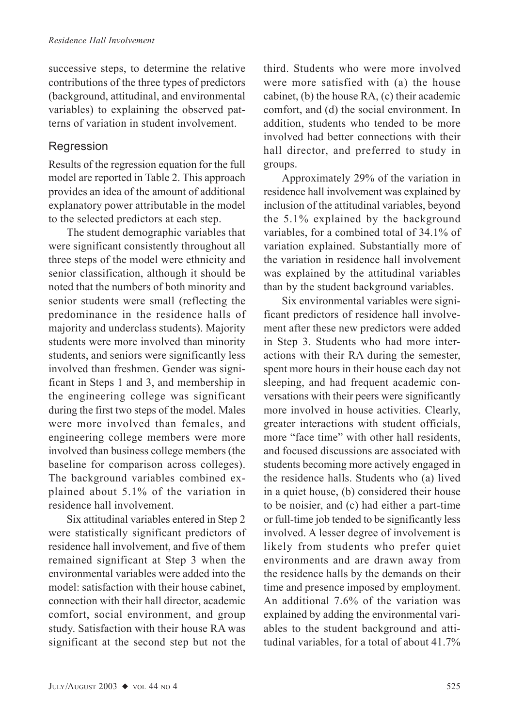successive steps, to determine the relative contributions of the three types of predictors (background, attitudinal, and environmental variables) to explaining the observed patterns of variation in student involvement.

#### Regression

Results of the regression equation for the full model are reported in Table 2. This approach provides an idea of the amount of additional explanatory power attributable in the model to the selected predictors at each step.

The student demographic variables that were significant consistently throughout all three steps of the model were ethnicity and senior classification, although it should be noted that the numbers of both minority and senior students were small (reflecting the predominance in the residence halls of majority and underclass students). Majority students were more involved than minority students, and seniors were significantly less involved than freshmen. Gender was significant in Steps 1 and 3, and membership in the engineering college was significant during the first two steps of the model. Males were more involved than females, and engineering college members were more involved than business college members (the baseline for comparison across colleges). The background variables combined explained about 5.1% of the variation in residence hall involvement.

Six attitudinal variables entered in Step 2 were statistically significant predictors of residence hall involvement, and five of them remained significant at Step 3 when the environmental variables were added into the model: satisfaction with their house cabinet, connection with their hall director, academic comfort, social environment, and group study. Satisfaction with their house RA was significant at the second step but not the

third. Students who were more involved were more satisfied with (a) the house cabinet, (b) the house RA, (c) their academic comfort, and (d) the social environment. In addition, students who tended to be more involved had better connections with their hall director, and preferred to study in groups.

Approximately 29% of the variation in residence hall involvement was explained by inclusion of the attitudinal variables, beyond the 5.1% explained by the background variables, for a combined total of 34.1% of variation explained. Substantially more of the variation in residence hall involvement was explained by the attitudinal variables than by the student background variables.

Six environmental variables were significant predictors of residence hall involvement after these new predictors were added in Step 3. Students who had more interactions with their RA during the semester, spent more hours in their house each day not sleeping, and had frequent academic conversations with their peers were significantly more involved in house activities. Clearly, greater interactions with student officials, more "face time" with other hall residents, and focused discussions are associated with students becoming more actively engaged in the residence halls. Students who (a) lived in a quiet house, (b) considered their house to be noisier, and (c) had either a part-time or full-time job tended to be significantly less involved. A lesser degree of involvement is likely from students who prefer quiet environments and are drawn away from the residence halls by the demands on their time and presence imposed by employment. An additional 7.6% of the variation was explained by adding the environmental variables to the student background and attitudinal variables, for a total of about 41.7%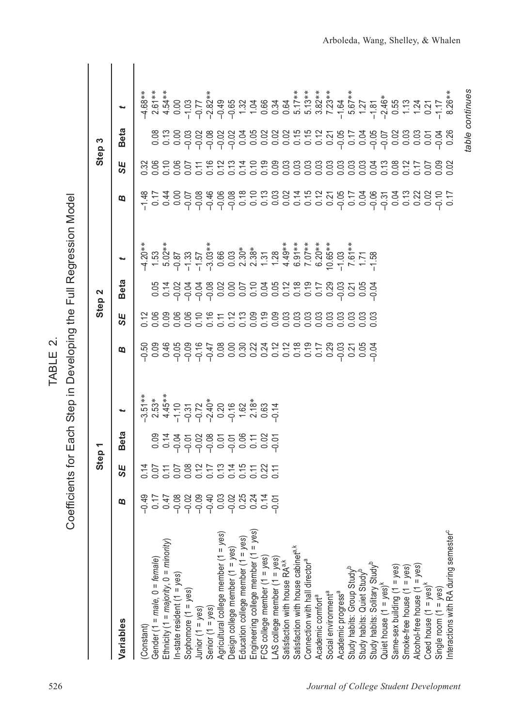|                                                                                                 |   |    | Step <sub>1</sub>           |   |    | Step 2 |   |    | Step 3 |  |
|-------------------------------------------------------------------------------------------------|---|----|-----------------------------|---|----|--------|---|----|--------|--|
| Variables                                                                                       | മ | SΕ | <b>Beta</b>                 | ω | SE | Beta   | ω | SE | Beta   |  |
| Constant)                                                                                       |   |    |                             |   |    |        |   |    |        |  |
|                                                                                                 |   |    |                             |   |    |        |   |    |        |  |
| Gender (1 = male, 0 = female)<br>Ethnicity (1 = majority, 0 = minority)                         |   |    |                             |   |    |        |   |    |        |  |
| n-state resident (1 = $yes$ )                                                                   |   |    | 833688588585<br>83368558585 |   |    |        |   |    |        |  |
| Sophomore (1 = yes)                                                                             |   |    |                             |   |    |        |   |    |        |  |
| Junior (1 = yes)<br>Senior (1 = yes)<br>Agricultural college member (1 = yes)                   |   |    |                             |   |    |        |   |    |        |  |
|                                                                                                 |   |    |                             |   |    |        |   |    |        |  |
|                                                                                                 |   |    |                             |   |    |        |   |    |        |  |
| Design college member (1 = yes)                                                                 |   |    |                             |   |    |        |   |    |        |  |
| Education college member (1 = yes)                                                              |   |    |                             |   |    |        |   |    |        |  |
| Engineering college member (1 = yes)                                                            |   |    |                             |   |    |        |   |    |        |  |
| FCS college member (1 = yes)                                                                    |   |    |                             |   |    |        |   |    |        |  |
| AS college member (1 = yes)                                                                     |   |    |                             |   |    |        |   |    |        |  |
| Satisfaction with house RA <sup>a,k</sup>                                                       |   |    |                             |   |    |        |   |    |        |  |
| Satisfaction with house cabinet <sup>a,k</sup>                                                  |   |    |                             |   |    |        |   |    |        |  |
| Connection with hall director <sup>a</sup>                                                      |   |    |                             |   |    |        |   |    |        |  |
| Academic comfort <sup>a</sup>                                                                   |   |    |                             |   |    |        |   |    |        |  |
| Social environment <sup>a</sup>                                                                 |   |    |                             |   |    |        |   |    |        |  |
|                                                                                                 |   |    |                             |   |    |        |   |    |        |  |
| Academic progress <sup>a</sup><br>Study habits: Group Study <sup>b</sup>                        |   |    |                             |   |    |        |   |    |        |  |
| Study habits: Quiet Study                                                                       |   |    |                             |   |    |        |   |    |        |  |
|                                                                                                 |   |    |                             |   |    |        |   |    |        |  |
| Study habits: Solitary Study <sup>b</sup><br>Quiet house (1 = yes) <sup>k</sup>                 |   |    |                             |   |    |        |   |    |        |  |
| Same-sex building (1 = yes)                                                                     |   |    |                             |   |    |        |   |    |        |  |
|                                                                                                 |   |    |                             |   |    |        |   |    |        |  |
|                                                                                                 |   |    |                             |   |    |        |   |    |        |  |
| Smoke-free house (1 = yes)<br>Alcohol-free house (1 = yes)<br>Coed house (1 = yes) <sup>k</sup> |   |    |                             |   |    |        |   |    |        |  |
| Single room $(1 = yes)$                                                                         |   |    |                             |   |    |        |   |    |        |  |
| Interactions with RA during semester <sup>c</sup>                                               |   |    |                             |   |    |        |   |    |        |  |

Coefficients for Each Step in Developing the Full Regression Model Coefficients for Each Step in Developing the Full Regression Model TABLE 2. TABLE 2.

526 *Journal of College Student Development*

*table continues*

table continues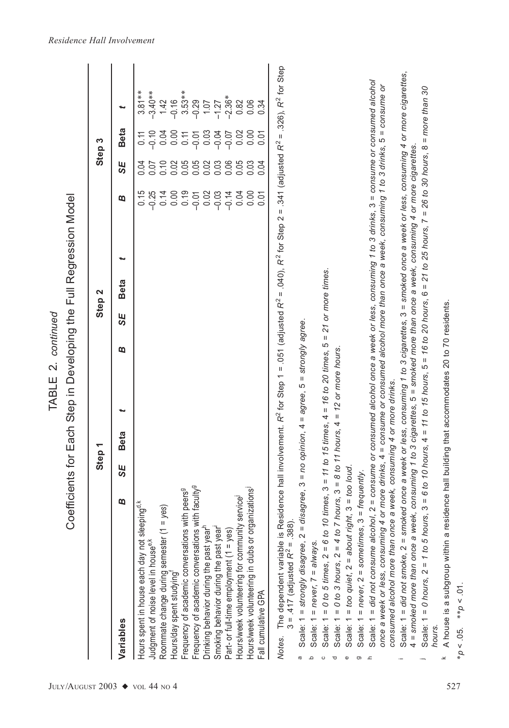|                    | $\begin{array}{c} \n \overline{1} & \overline{1} & \overline{1} \\ \n \overline{1} & \overline{1} & \overline{1} \\ \n \overline{1} & \overline{1} & \overline{1} \\ \n \end{array}$ |
|--------------------|--------------------------------------------------------------------------------------------------------------------------------------------------------------------------------------|
|                    |                                                                                                                                                                                      |
|                    |                                                                                                                                                                                      |
| continuec          |                                                                                                                                                                                      |
| $\mathbf{\hat{c}}$ |                                                                                                                                                                                      |
|                    | $\overline{\phantom{a}}$                                                                                                                                                             |
| TABLE              |                                                                                                                                                                                      |
|                    | ĺ                                                                                                                                                                                    |
|                    |                                                                                                                                                                                      |

Coefficients for Each Step in Developing the Full Regression Model Coefficients for Each Step in Developing the Full Regression Model

|                                                                                                                                                                                                                     |    | Step <sub>1</sub> |   |    | Step <sub>2</sub> |                                                                             |                 | Step <sub>3</sub>                            |  |
|---------------------------------------------------------------------------------------------------------------------------------------------------------------------------------------------------------------------|----|-------------------|---|----|-------------------|-----------------------------------------------------------------------------|-----------------|----------------------------------------------|--|
| య<br>Variables                                                                                                                                                                                                      | SE | <b>Beta</b>       | ⅏ | SE | <b>Beta</b>       | ഇ                                                                           | SE              | <b>Beta</b>                                  |  |
| ڟؖڡ<br>Hours spent in house each day not sleepin                                                                                                                                                                    |    |                   |   |    |                   |                                                                             |                 |                                              |  |
| Judgment of noise level in house <sup>e,k</sup>                                                                                                                                                                     |    |                   |   |    |                   | e 8 4 8 6 5 8 8 4 8 6 5<br>C 8 4 8 6 5 8 8 4 8 6 5<br>C 9 6 6 6 9 9 9 0 0 0 | $3528888888833$ | redorsodhoos<br>redorsodhoos<br>redorsodhoos |  |
| Roommate change during semester (1 = yes)                                                                                                                                                                           |    |                   |   |    |                   |                                                                             |                 |                                              |  |
| Hours/day spent studying                                                                                                                                                                                            |    |                   |   |    |                   |                                                                             |                 |                                              |  |
| beers <sup>9</sup><br>Frequency of academic conversations with                                                                                                                                                      |    |                   |   |    |                   |                                                                             |                 |                                              |  |
| Frequency of academic conversations with                                                                                                                                                                            |    |                   |   |    |                   |                                                                             |                 |                                              |  |
| Drinking behavior during the past year"                                                                                                                                                                             |    |                   |   |    |                   |                                                                             |                 |                                              |  |
| Smoking behavior during the past year                                                                                                                                                                               |    |                   |   |    |                   |                                                                             |                 |                                              |  |
| Part- or full-time employment (1 = yes)                                                                                                                                                                             |    |                   |   |    |                   |                                                                             |                 |                                              |  |
| <b>INICe</b><br>Hours/week volunteering for community se                                                                                                                                                            |    |                   |   |    |                   |                                                                             |                 |                                              |  |
| Hours/week volunteering in clubs or organi                                                                                                                                                                          |    |                   |   |    |                   |                                                                             |                 |                                              |  |
| Fall cumulative GPA                                                                                                                                                                                                 |    |                   |   |    |                   |                                                                             |                 |                                              |  |
| Notes. The dependent variable is Residence hall involvement. $R^2$ for Step 1 = .051 (adjusted $R^2$ = .040), $R^2$ for Step 2 = .341 (adjusted $R^2$ = .326), $R^2$ for Step<br>$3 = 417$ (adjusted $R^2 = 388$ ). |    |                   |   |    |                   |                                                                             |                 |                                              |  |

 $3 = .417$  (adjusted *R*2 = .388).

Scale: 1 = strongly disagree, 2 = disagree, 3 = no opinion, 4 = agree, 5 = strongly agree. Scale: 1 = *strongly disagree*, 2 = *disagree*, 3 = *no opinion*, 4 = *agree*, 5 = *strongly agree*. a

Scale:  $1 = never$ ,  $7 = always$ . Scale: 1 = *never*, 7 = *always*. م

Scale:  $1 = 0$  to 5 times,  $2 = 6$  to 10 times,  $3 = 11$  to 15 times,  $4 = 16$  to 20 times,  $5 = 21$  or more times. Scale: 1 = *0 to 5 times*, 2 = *6 to 10 times*, 3 = *11 to 15 times*, 4 = *16 to 20 times*, 5 = *21 or more times*. c

Scale:  $1 = 0$  to 3 hours,  $2 = 4$  to 7 hours,  $3 = 8$  to 11 hours,  $4 = 12$  or more hours. Scale: 1 = *0 to 3 hours*, 2 = *4 to 7 hours*, 3 = *8 to 11 hours*, 4 = *12 or more hours*.  $\overline{c}$ 

Scale:  $1 =$  too quiet,  $2 =$  about right,  $3 =$  too loud. Scale: 1 = *too quiet*, 2 = *about right*, 3 = *too loud*. e

Scale:  $1 = never$ ,  $2 = sometimes$ ,  $3 = frequently$ . Scale: 1 = *never*, 2 = *sometimes*, 3 = *frequently*. g

Scale: 1 = did not consume alcohol, 2 = consume or consumed alcohol once a week or less, consuming 1 to 3 drinks, 3 = consume or consumed alcohol Scale: 1 = *did not consume alcohol*, 2 = *consume or consumed alcohol once a week or less, consuming 1 to 3 drinks*, 3 = *consume or consumed alcohol* once a week or less, consuming 4 or more drinks, 4 = consume or consumed alcohol more than once a week, consuming 1 to 3 drinks, 5 = consume or *once a week or less, consuming 4 or more drinks*, 4 = *consume or consumed alcohol more than once a week, consuming 1 to 3 drinks*, 5 = *consume or* consumed alcohol more than once a week, consuming 4 or more drinks. *consumed alcohol more than once a week, consuming 4 or more drinks*. hi

Scale: 1 = did not smoke, 2 = smoked once a week or less, consuming 1 to 3 cigarettes, 3 = smoked once a week or less, consuming 4 or more cigarettes, Scale: 1 = *did not smoke*, 2 = *smoked once a week or less, consuming 1 to 3 cigarettes*, 3 = *smoked once a week or less, consuming 4 or more cigarettes*, Scale: 1 = 0 hours, 2 = 1 to 5 hours, 3 = 6 to 10 hours, 4 = 11 to 15 hours, 5 = 16 to 20 hours, 6 = 21 to 25 hours, 7 = 26 to 30 hours, 8 = more than 30 j Scale: 1 = *0 hours*, 2 = *1 to 5 hours*, 3 = *6 to 10 hours*, 4 = *11 to 15 hours*, 5 = *16 to 20 hours*, 6 = *21 to 25 hours*, 7 = *26 to 30 hours*, 8 = *more than 30*  $4$  = smoked more than once a week, consuming 1 to 3 cigarettes, 5 = smoked more than once a week, consuming 4 or more cigarettes. 4 = *smoked more than once a week, consuming 1 to 3 cigarettes*, 5 = *smoked more than once a week, consuming 4 or more cigarettes*.  $\overline{a}$ 

*hours*.

A house is a subgroup within a residence hall building that accommodates 20 to 70 residents. A house is a subgroup within a residence hall building that accommodates 20 to 70 residents.  $\checkmark$ 

\**p* < .05. \*\**p* < .01.  $10. > 0$ \*\*  $*\rho < .05$ .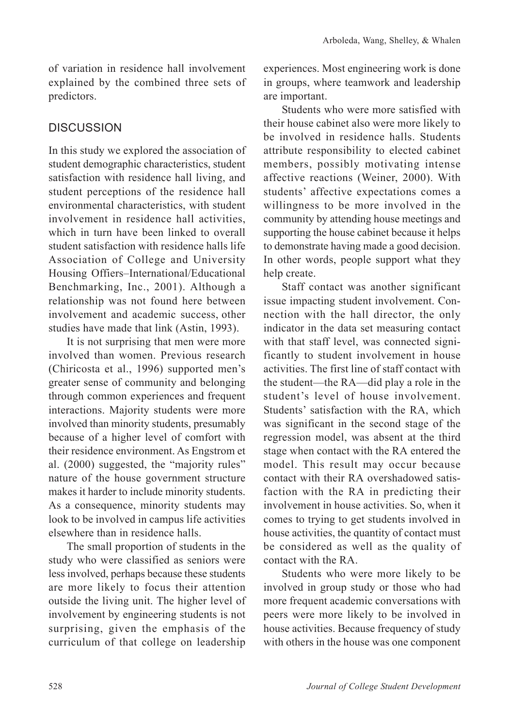of variation in residence hall involvement explained by the combined three sets of predictors.

### **DISCUSSION**

In this study we explored the association of student demographic characteristics, student satisfaction with residence hall living, and student perceptions of the residence hall environmental characteristics, with student involvement in residence hall activities, which in turn have been linked to overall student satisfaction with residence halls life Association of College and University Housing Offiers–International/Educational Benchmarking, Inc., 2001). Although a relationship was not found here between involvement and academic success, other studies have made that link (Astin, 1993).

It is not surprising that men were more involved than women. Previous research (Chiricosta et al., 1996) supported men's greater sense of community and belonging through common experiences and frequent interactions. Majority students were more involved than minority students, presumably because of a higher level of comfort with their residence environment. As Engstrom et al. (2000) suggested, the "majority rules" nature of the house government structure makes it harder to include minority students. As a consequence, minority students may look to be involved in campus life activities elsewhere than in residence halls.

The small proportion of students in the study who were classified as seniors were less involved, perhaps because these students are more likely to focus their attention outside the living unit. The higher level of involvement by engineering students is not surprising, given the emphasis of the curriculum of that college on leadership experiences. Most engineering work is done in groups, where teamwork and leadership are important.

Students who were more satisfied with their house cabinet also were more likely to be involved in residence halls. Students attribute responsibility to elected cabinet members, possibly motivating intense affective reactions (Weiner, 2000). With students' affective expectations comes a willingness to be more involved in the community by attending house meetings and supporting the house cabinet because it helps to demonstrate having made a good decision. In other words, people support what they help create.

Staff contact was another significant issue impacting student involvement. Connection with the hall director, the only indicator in the data set measuring contact with that staff level, was connected significantly to student involvement in house activities. The first line of staff contact with the student—the RA—did play a role in the student's level of house involvement. Students' satisfaction with the RA, which was significant in the second stage of the regression model, was absent at the third stage when contact with the RA entered the model. This result may occur because contact with their RA overshadowed satisfaction with the RA in predicting their involvement in house activities. So, when it comes to trying to get students involved in house activities, the quantity of contact must be considered as well as the quality of contact with the RA.

Students who were more likely to be involved in group study or those who had more frequent academic conversations with peers were more likely to be involved in house activities. Because frequency of study with others in the house was one component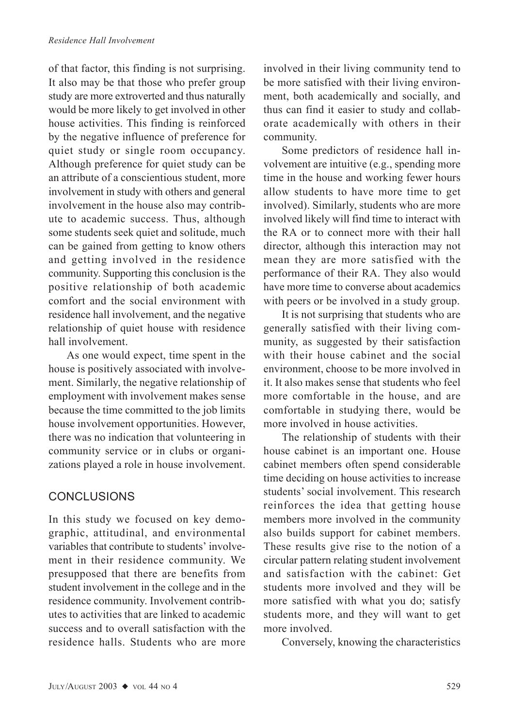of that factor, this finding is not surprising. It also may be that those who prefer group study are more extroverted and thus naturally would be more likely to get involved in other house activities. This finding is reinforced by the negative influence of preference for quiet study or single room occupancy. Although preference for quiet study can be an attribute of a conscientious student, more involvement in study with others and general involvement in the house also may contribute to academic success. Thus, although some students seek quiet and solitude, much can be gained from getting to know others and getting involved in the residence community. Supporting this conclusion is the positive relationship of both academic comfort and the social environment with residence hall involvement, and the negative relationship of quiet house with residence hall involvement.

As one would expect, time spent in the house is positively associated with involvement. Similarly, the negative relationship of employment with involvement makes sense because the time committed to the job limits house involvement opportunities. However, there was no indication that volunteering in community service or in clubs or organizations played a role in house involvement.

### **CONCLUSIONS**

In this study we focused on key demographic, attitudinal, and environmental variables that contribute to students' involvement in their residence community. We presupposed that there are benefits from student involvement in the college and in the residence community. Involvement contributes to activities that are linked to academic success and to overall satisfaction with the residence halls. Students who are more involved in their living community tend to be more satisfied with their living environment, both academically and socially, and thus can find it easier to study and collaborate academically with others in their community.

Some predictors of residence hall involvement are intuitive (e.g., spending more time in the house and working fewer hours allow students to have more time to get involved). Similarly, students who are more involved likely will find time to interact with the RA or to connect more with their hall director, although this interaction may not mean they are more satisfied with the performance of their RA. They also would have more time to converse about academics with peers or be involved in a study group.

It is not surprising that students who are generally satisfied with their living community, as suggested by their satisfaction with their house cabinet and the social environment, choose to be more involved in it. It also makes sense that students who feel more comfortable in the house, and are comfortable in studying there, would be more involved in house activities.

The relationship of students with their house cabinet is an important one. House cabinet members often spend considerable time deciding on house activities to increase students' social involvement. This research reinforces the idea that getting house members more involved in the community also builds support for cabinet members. These results give rise to the notion of a circular pattern relating student involvement and satisfaction with the cabinet: Get students more involved and they will be more satisfied with what you do; satisfy students more, and they will want to get more involved.

Conversely, knowing the characteristics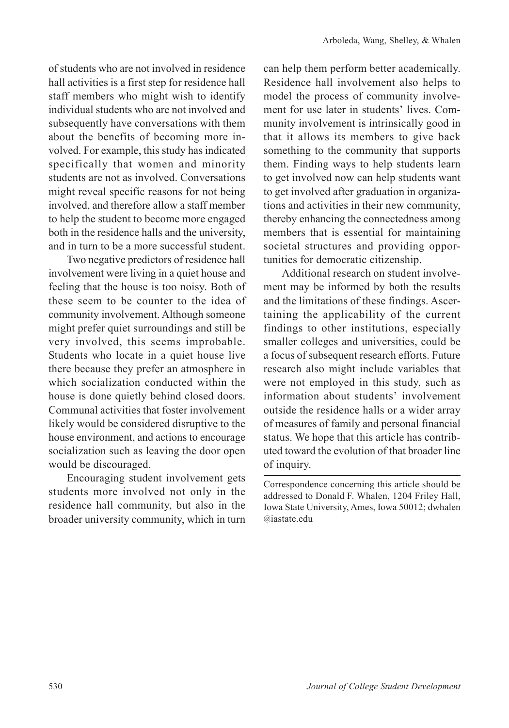of students who are not involved in residence hall activities is a first step for residence hall staff members who might wish to identify individual students who are not involved and subsequently have conversations with them about the benefits of becoming more involved. For example, this study has indicated specifically that women and minority students are not as involved. Conversations might reveal specific reasons for not being involved, and therefore allow a staff member to help the student to become more engaged both in the residence halls and the university, and in turn to be a more successful student.

Two negative predictors of residence hall involvement were living in a quiet house and feeling that the house is too noisy. Both of these seem to be counter to the idea of community involvement. Although someone might prefer quiet surroundings and still be very involved, this seems improbable. Students who locate in a quiet house live there because they prefer an atmosphere in which socialization conducted within the house is done quietly behind closed doors. Communal activities that foster involvement likely would be considered disruptive to the house environment, and actions to encourage socialization such as leaving the door open would be discouraged.

Encouraging student involvement gets students more involved not only in the residence hall community, but also in the broader university community, which in turn

can help them perform better academically. Residence hall involvement also helps to model the process of community involvement for use later in students' lives. Community involvement is intrinsically good in that it allows its members to give back something to the community that supports them. Finding ways to help students learn to get involved now can help students want to get involved after graduation in organizations and activities in their new community, thereby enhancing the connectedness among members that is essential for maintaining societal structures and providing opportunities for democratic citizenship.

Additional research on student involvement may be informed by both the results and the limitations of these findings. Ascertaining the applicability of the current findings to other institutions, especially smaller colleges and universities, could be a focus of subsequent research efforts. Future research also might include variables that were not employed in this study, such as information about students' involvement outside the residence halls or a wider array of measures of family and personal financial status. We hope that this article has contributed toward the evolution of that broader line of inquiry.

Correspondence concerning this article should be addressed to Donald F. Whalen, 1204 Friley Hall, Iowa State University, Ames, Iowa 50012; dwhalen @iastate.edu